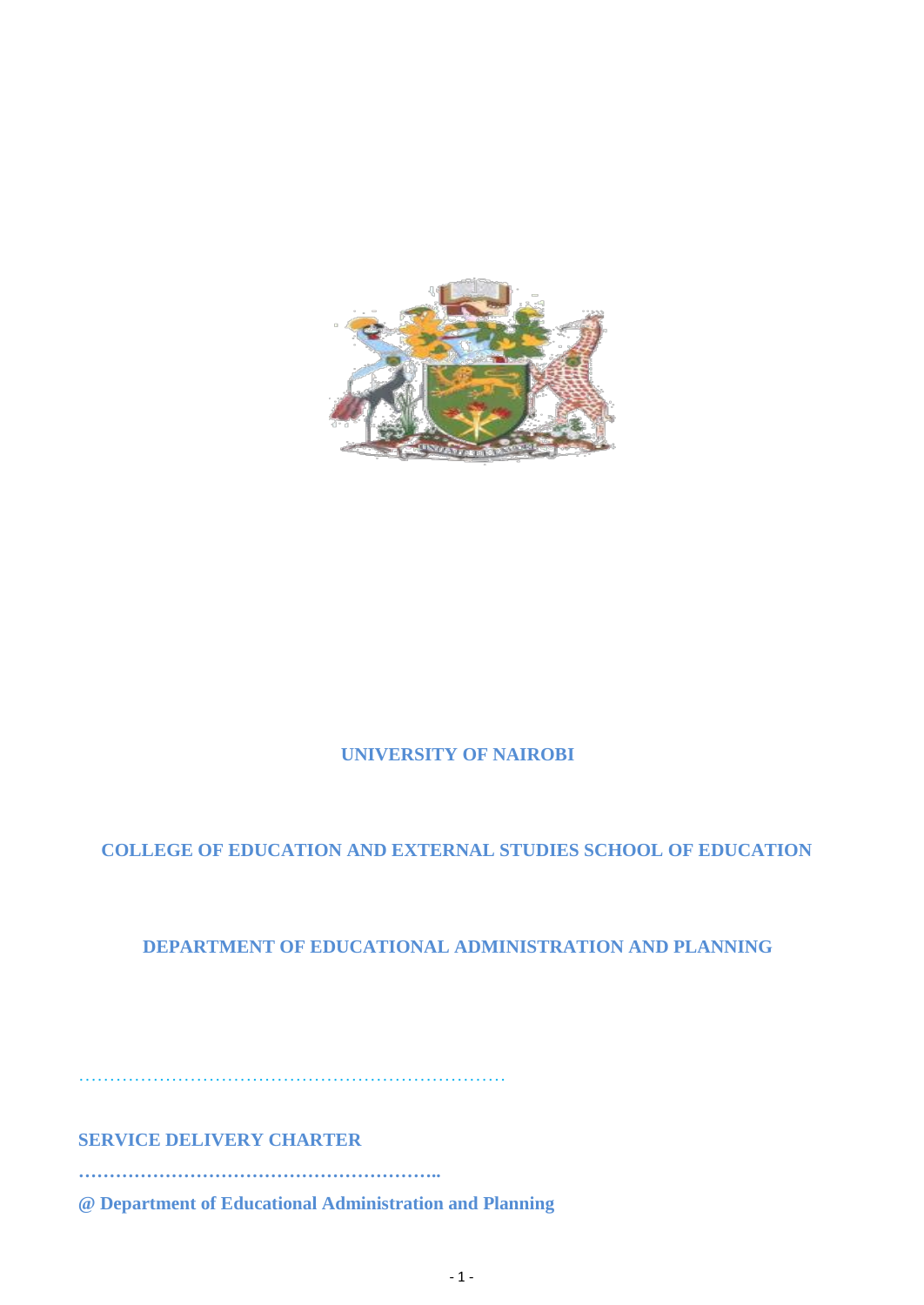

# **UNIVERSITY OF NAIROBI**

# **COLLEGE OF EDUCATION AND EXTERNAL STUDIES SCHOOL OF EDUCATION**

# **DEPARTMENT OF EDUCATIONAL ADMINISTRATION AND PLANNING**

……………………………………………………………

**SERVICE DELIVERY CHARTER** 

**…………………………………………………..**

**@ Department of Educational Administration and Planning**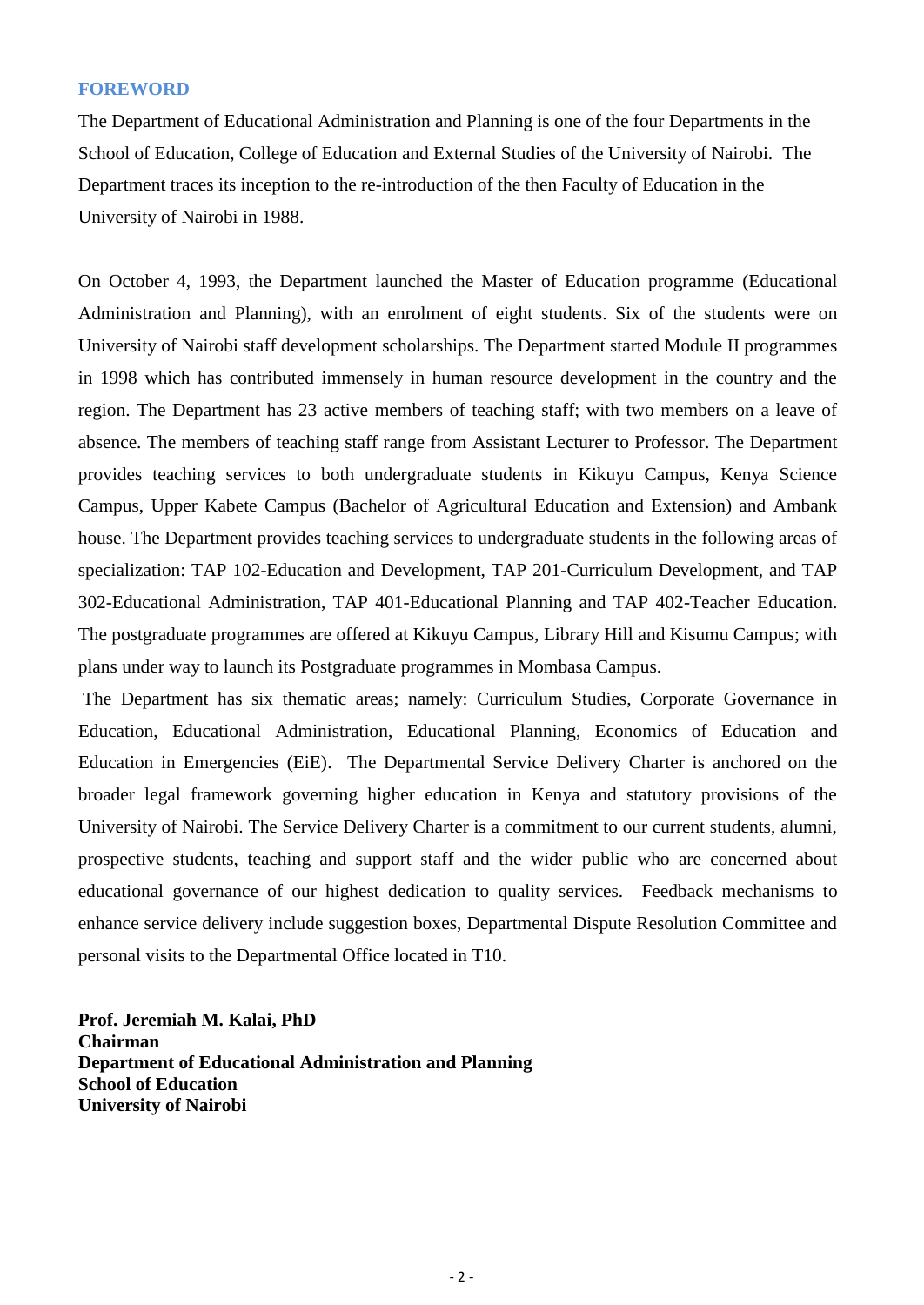#### **FOREWORD**

The Department of Educational Administration and Planning is one of the four Departments in the School of Education, College of Education and External Studies of the University of Nairobi. The Department traces its inception to the re-introduction of the then Faculty of Education in the University of Nairobi in 1988.

On October 4, 1993, the Department launched the Master of Education programme (Educational Administration and Planning), with an enrolment of eight students. Six of the students were on University of Nairobi staff development scholarships. The Department started Module II programmes in 1998 which has contributed immensely in human resource development in the country and the region. The Department has 23 active members of teaching staff; with two members on a leave of absence. The members of teaching staff range from Assistant Lecturer to Professor. The Department provides teaching services to both undergraduate students in Kikuyu Campus, Kenya Science Campus, Upper Kabete Campus (Bachelor of Agricultural Education and Extension) and Ambank house. The Department provides teaching services to undergraduate students in the following areas of specialization: TAP 102-Education and Development, TAP 201-Curriculum Development, and TAP 302-Educational Administration, TAP 401-Educational Planning and TAP 402-Teacher Education. The postgraduate programmes are offered at Kikuyu Campus, Library Hill and Kisumu Campus; with plans under way to launch its Postgraduate programmes in Mombasa Campus.

The Department has six thematic areas; namely: Curriculum Studies, Corporate Governance in Education, Educational Administration, Educational Planning, Economics of Education and Education in Emergencies (EiE). The Departmental Service Delivery Charter is anchored on the broader legal framework governing higher education in Kenya and statutory provisions of the University of Nairobi. The Service Delivery Charter is a commitment to our current students, alumni, prospective students, teaching and support staff and the wider public who are concerned about educational governance of our highest dedication to quality services. Feedback mechanisms to enhance service delivery include suggestion boxes, Departmental Dispute Resolution Committee and personal visits to the Departmental Office located in T10.

**Prof. Jeremiah M. Kalai, PhD Chairman Department of Educational Administration and Planning School of Education University of Nairobi**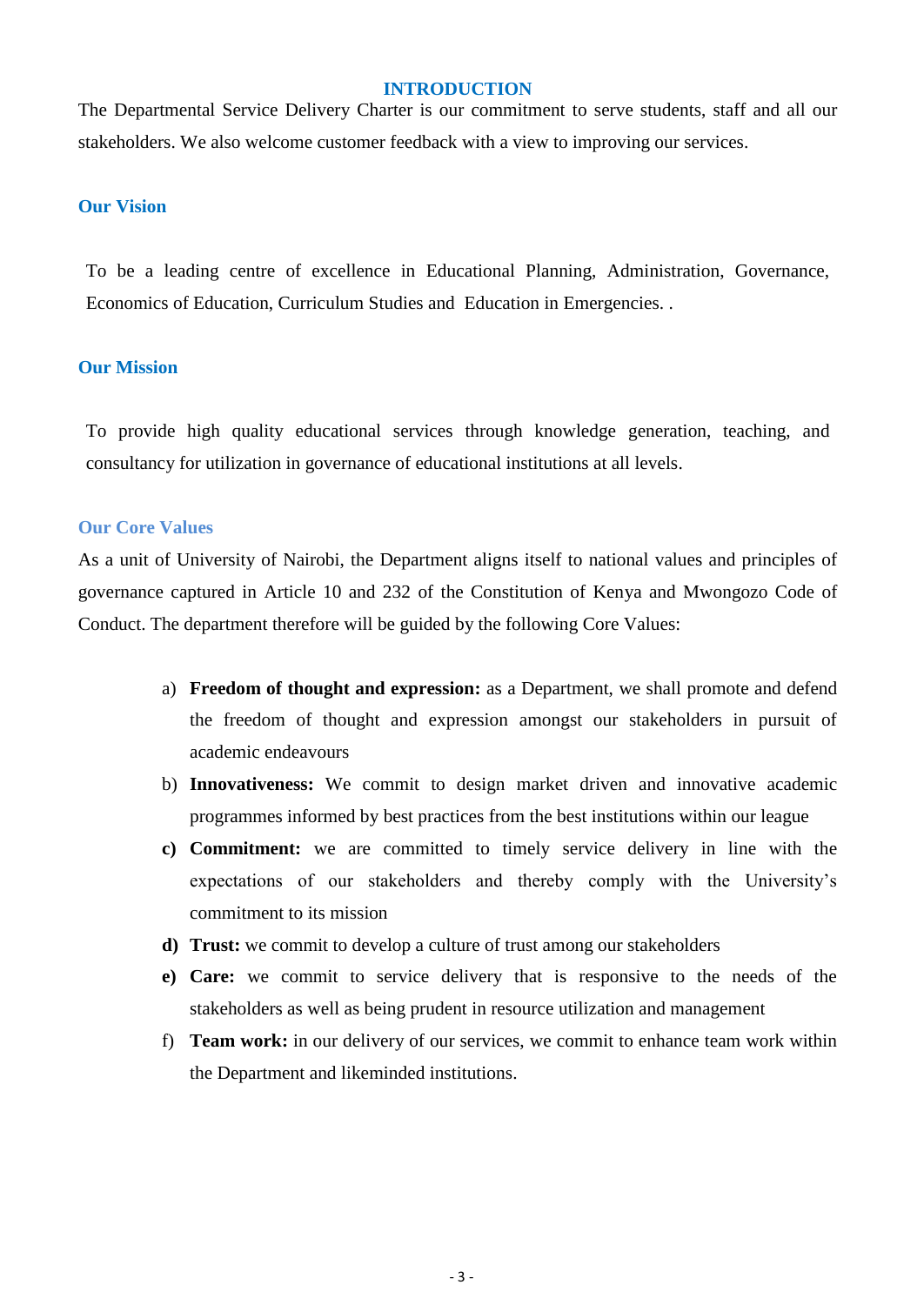#### **INTRODUCTION**

The Departmental Service Delivery Charter is our commitment to serve students, staff and all our stakeholders. We also welcome customer feedback with a view to improving our services.

### **Our Vision**

To be a leading centre of excellence in Educational Planning, Administration, Governance, Economics of Education, Curriculum Studies and Education in Emergencies. .

## **Our Mission**

To provide high quality educational services through knowledge generation, teaching, and consultancy for utilization in governance of educational institutions at all levels.

## **Our Core Values**

As a unit of University of Nairobi, the Department aligns itself to national values and principles of governance captured in Article 10 and 232 of the Constitution of Kenya and Mwongozo Code of Conduct. The department therefore will be guided by the following Core Values:

- a) **Freedom of thought and expression:** as a Department, we shall promote and defend the freedom of thought and expression amongst our stakeholders in pursuit of academic endeavours
- b) **Innovativeness:** We commit to design market driven and innovative academic programmes informed by best practices from the best institutions within our league
- **c) Commitment:** we are committed to timely service delivery in line with the expectations of our stakeholders and thereby comply with the University's commitment to its mission
- **d) Trust:** we commit to develop a culture of trust among our stakeholders
- **e) Care:** we commit to service delivery that is responsive to the needs of the stakeholders as well as being prudent in resource utilization and management
- f) **Team work:** in our delivery of our services, we commit to enhance team work within the Department and likeminded institutions.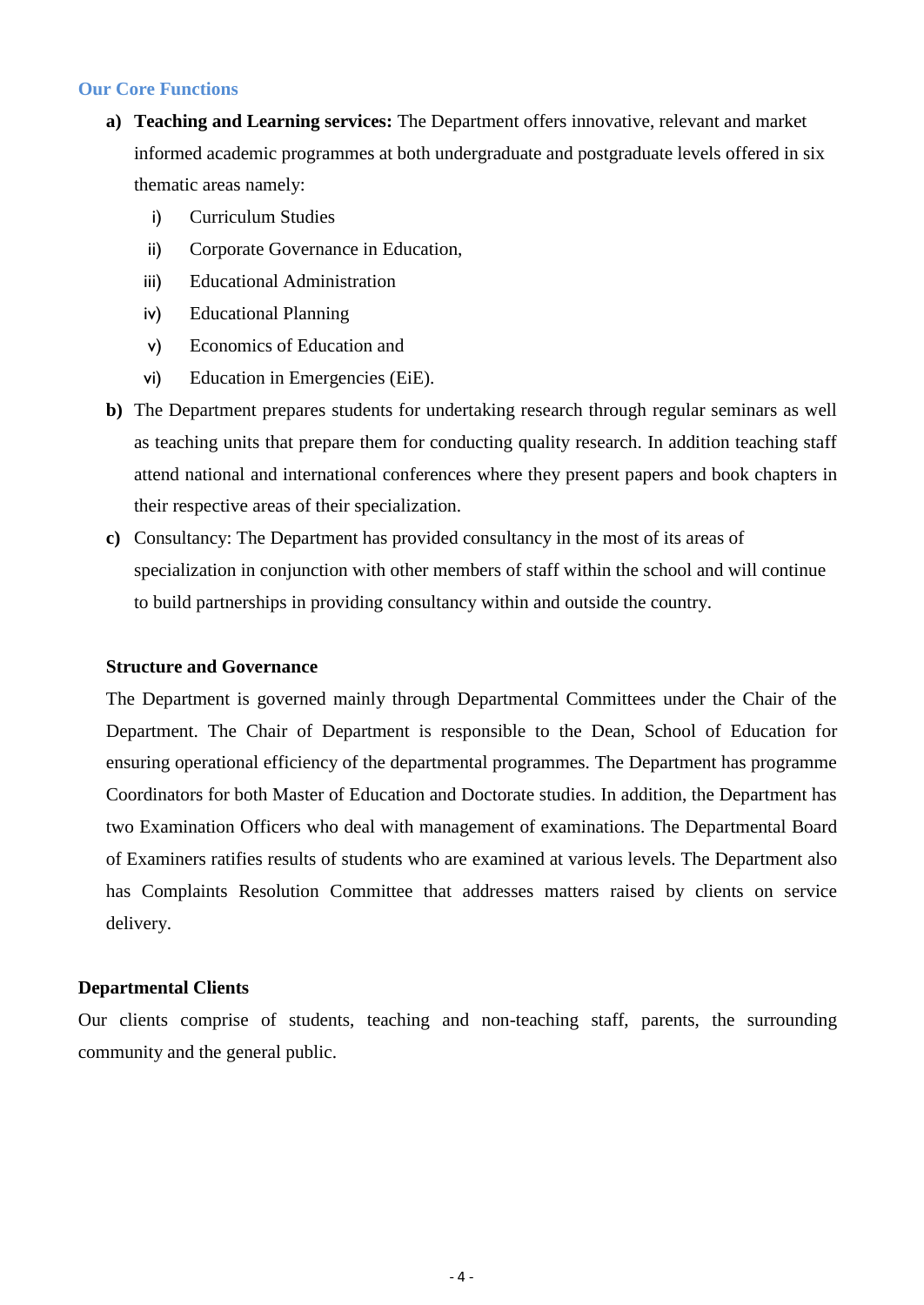### **Our Core Functions**

- **a) Teaching and Learning services:** The Department offers innovative, relevant and market informed academic programmes at both undergraduate and postgraduate levels offered in six thematic areas namely:
	- i) Curriculum Studies
	- ii) Corporate Governance in Education,
	- iii) Educational Administration
	- iv) Educational Planning
	- v) Economics of Education and
	- vi) Education in Emergencies (EiE).
- **b)** The Department prepares students for undertaking research through regular seminars as well as teaching units that prepare them for conducting quality research. In addition teaching staff attend national and international conferences where they present papers and book chapters in their respective areas of their specialization.
- **c)** Consultancy: The Department has provided consultancy in the most of its areas of specialization in conjunction with other members of staff within the school and will continue to build partnerships in providing consultancy within and outside the country.

#### **Structure and Governance**

The Department is governed mainly through Departmental Committees under the Chair of the Department. The Chair of Department is responsible to the Dean, School of Education for ensuring operational efficiency of the departmental programmes. The Department has programme Coordinators for both Master of Education and Doctorate studies. In addition, the Department has two Examination Officers who deal with management of examinations. The Departmental Board of Examiners ratifies results of students who are examined at various levels. The Department also has Complaints Resolution Committee that addresses matters raised by clients on service delivery.

### **Departmental Clients**

Our clients comprise of students, teaching and non-teaching staff, parents, the surrounding community and the general public.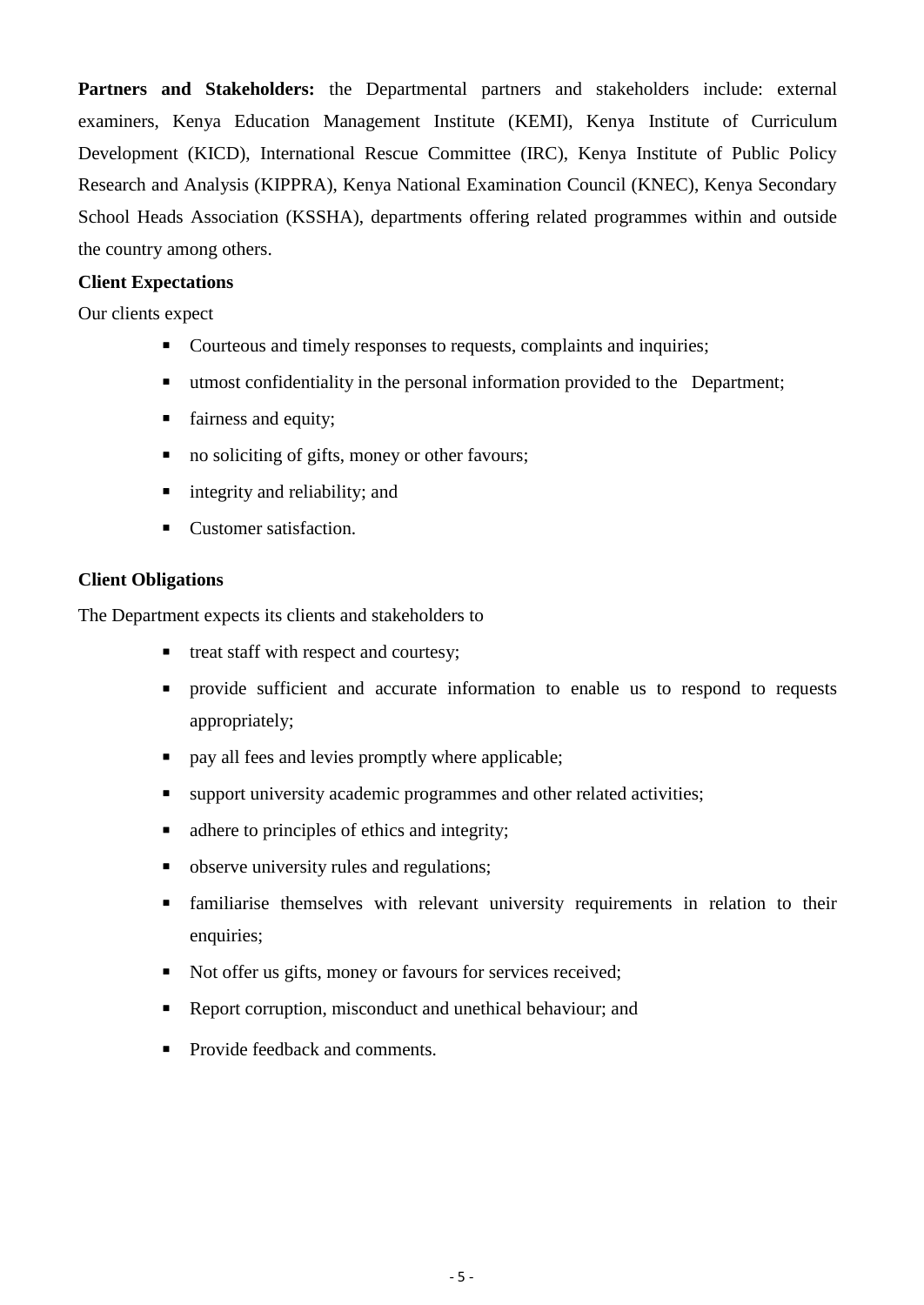Partners and Stakeholders: the Departmental partners and stakeholders include: external examiners, Kenya Education Management Institute (KEMI), Kenya Institute of Curriculum Development (KICD), International Rescue Committee (IRC), Kenya Institute of Public Policy Research and Analysis (KIPPRA), Kenya National Examination Council (KNEC), Kenya Secondary School Heads Association (KSSHA), departments offering related programmes within and outside the country among others.

## **Client Expectations**

Our clients expect

- Courteous and timely responses to requests, complaints and inquiries;
- utmost confidentiality in the personal information provided to the Department;
- $\blacksquare$  fairness and equity;
- no soliciting of gifts, money or other favours;
- integrity and reliability; and
- Customer satisfaction.

## **Client Obligations**

The Department expects its clients and stakeholders to

- treat staff with respect and courtesy;
- **Perovide** sufficient and accurate information to enable us to respond to requests appropriately;
- $\Box$  pay all fees and levies promptly where applicable;
- support university academic programmes and other related activities;
- adhere to principles of ethics and integrity;
- observe university rules and regulations;
- familiarise themselves with relevant university requirements in relation to their enquiries;
- Not offer us gifts, money or favours for services received;
- Report corruption, misconduct and unethical behaviour; and
- Provide feedback and comments.